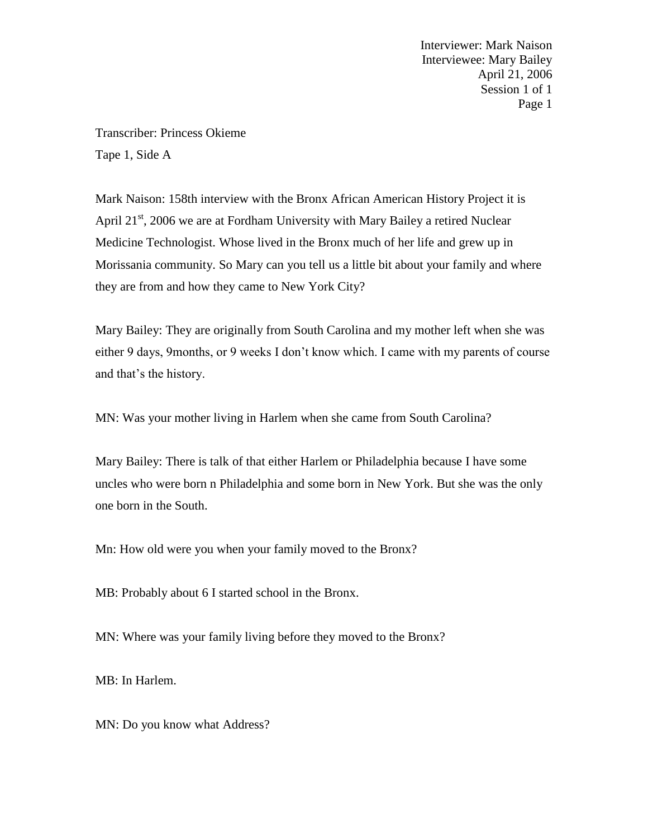Transcriber: Princess Okieme Tape 1, Side A

Mark Naison: 158th interview with the Bronx African American History Project it is April  $21<sup>st</sup>$ , 2006 we are at Fordham University with Mary Bailey a retired Nuclear Medicine Technologist. Whose lived in the Bronx much of her life and grew up in Morissania community. So Mary can you tell us a little bit about your family and where they are from and how they came to New York City?

Mary Bailey: They are originally from South Carolina and my mother left when she was either 9 days, 9months, or 9 weeks I don't know which. I came with my parents of course and that's the history.

MN: Was your mother living in Harlem when she came from South Carolina?

Mary Bailey: There is talk of that either Harlem or Philadelphia because I have some uncles who were born n Philadelphia and some born in New York. But she was the only one born in the South.

Mn: How old were you when your family moved to the Bronx?

MB: Probably about 6 I started school in the Bronx.

MN: Where was your family living before they moved to the Bronx?

MB: In Harlem.

MN: Do you know what Address?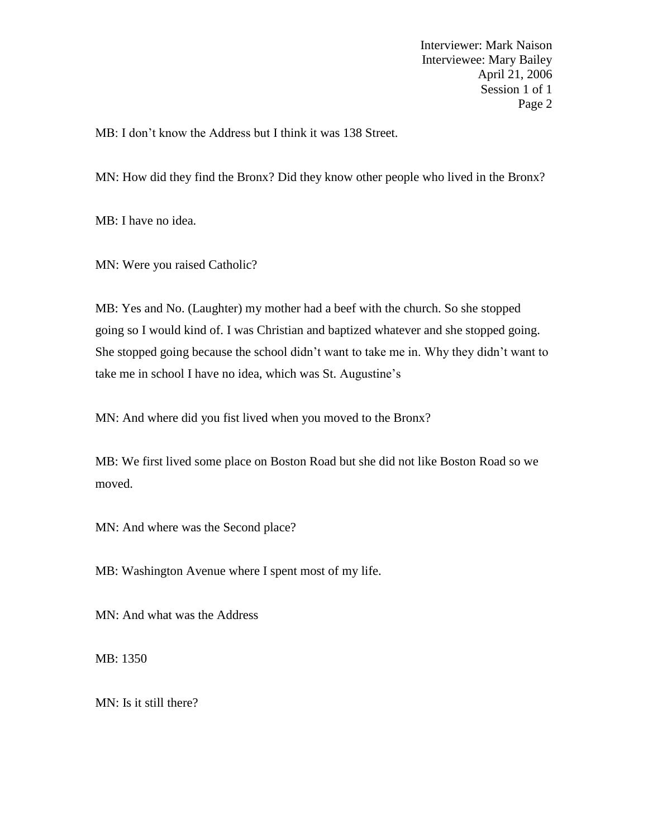MB: I don't know the Address but I think it was 138 Street.

MN: How did they find the Bronx? Did they know other people who lived in the Bronx?

MB: I have no idea.

MN: Were you raised Catholic?

MB: Yes and No. (Laughter) my mother had a beef with the church. So she stopped going so I would kind of. I was Christian and baptized whatever and she stopped going. She stopped going because the school didn't want to take me in. Why they didn't want to take me in school I have no idea, which was St. Augustine's

MN: And where did you fist lived when you moved to the Bronx?

MB: We first lived some place on Boston Road but she did not like Boston Road so we moved.

MN: And where was the Second place?

MB: Washington Avenue where I spent most of my life.

MN: And what was the Address

MB: 1350

MN: Is it still there?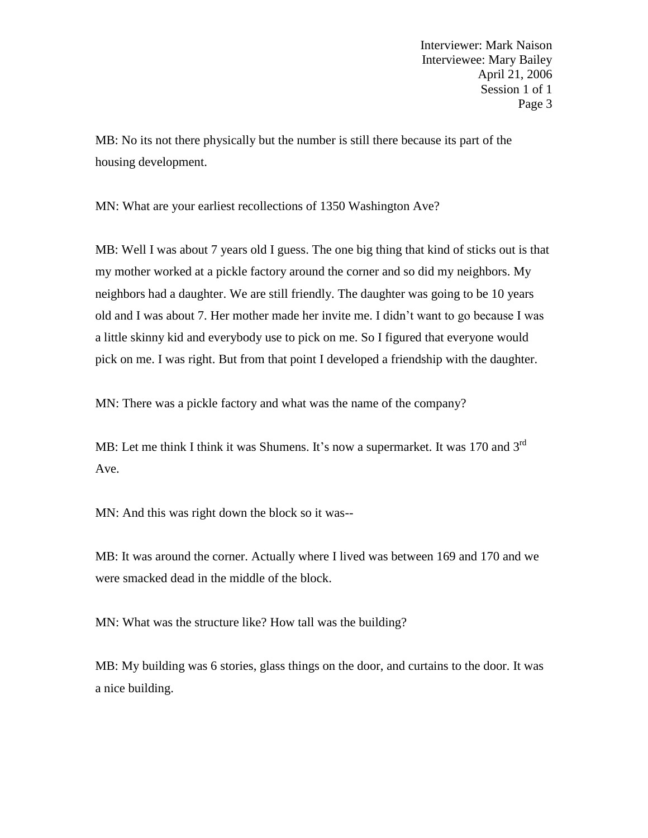MB: No its not there physically but the number is still there because its part of the housing development.

MN: What are your earliest recollections of 1350 Washington Ave?

MB: Well I was about 7 years old I guess. The one big thing that kind of sticks out is that my mother worked at a pickle factory around the corner and so did my neighbors. My neighbors had a daughter. We are still friendly. The daughter was going to be 10 years old and I was about 7. Her mother made her invite me. I didn't want to go because I was a little skinny kid and everybody use to pick on me. So I figured that everyone would pick on me. I was right. But from that point I developed a friendship with the daughter.

MN: There was a pickle factory and what was the name of the company?

MB: Let me think I think it was Shumens. It's now a supermarket. It was 170 and 3<sup>rd</sup> Ave.

MN: And this was right down the block so it was--

MB: It was around the corner. Actually where I lived was between 169 and 170 and we were smacked dead in the middle of the block.

MN: What was the structure like? How tall was the building?

MB: My building was 6 stories, glass things on the door, and curtains to the door. It was a nice building.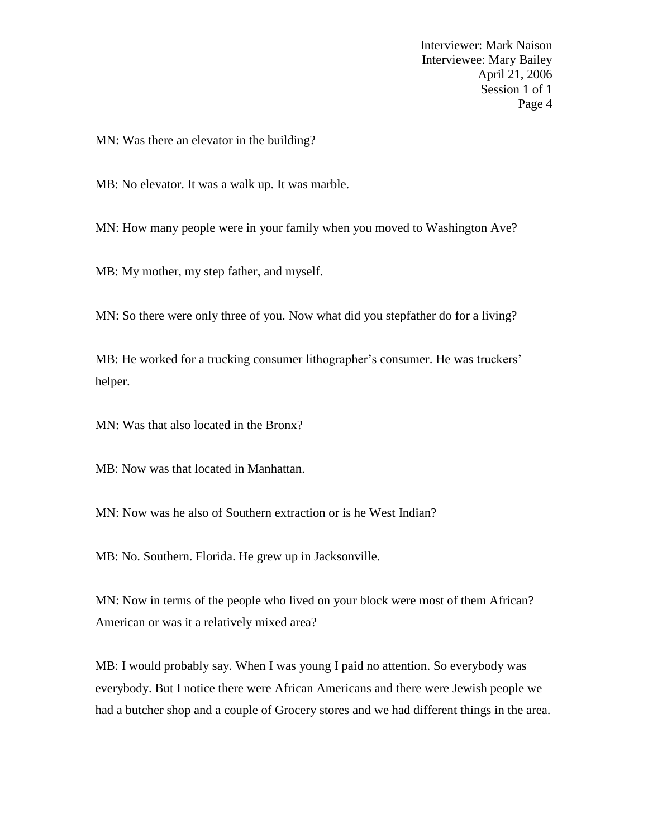MN: Was there an elevator in the building?

MB: No elevator. It was a walk up. It was marble.

MN: How many people were in your family when you moved to Washington Ave?

MB: My mother, my step father, and myself.

MN: So there were only three of you. Now what did you stepfather do for a living?

MB: He worked for a trucking consumer lithographer's consumer. He was truckers' helper.

MN: Was that also located in the Bronx?

MB: Now was that located in Manhattan.

MN: Now was he also of Southern extraction or is he West Indian?

MB: No. Southern. Florida. He grew up in Jacksonville.

MN: Now in terms of the people who lived on your block were most of them African? American or was it a relatively mixed area?

MB: I would probably say. When I was young I paid no attention. So everybody was everybody. But I notice there were African Americans and there were Jewish people we had a butcher shop and a couple of Grocery stores and we had different things in the area.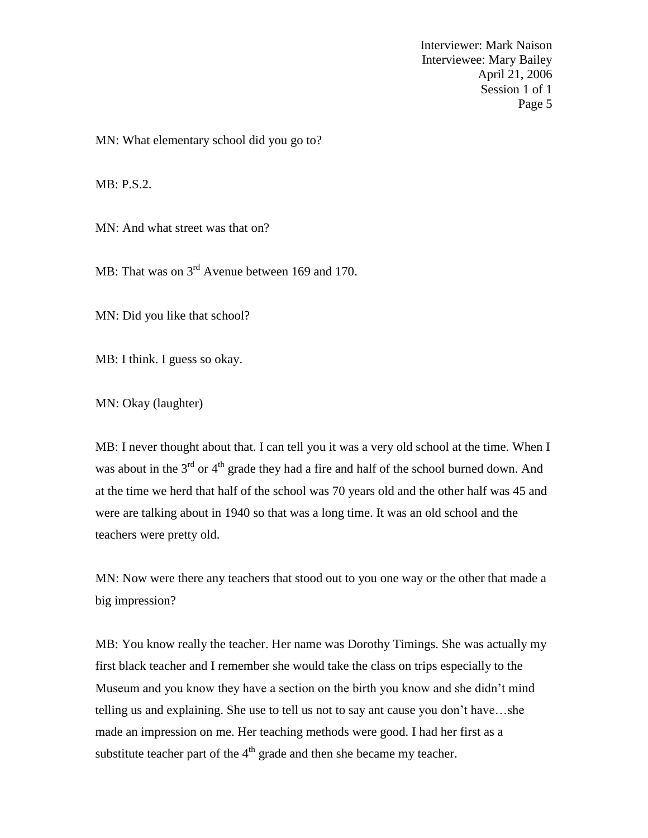MN: What elementary school did you go to?

MB: P.S.2.

MN: And what street was that on?

MB: That was on 3<sup>rd</sup> Avenue between 169 and 170.

MN: Did you like that school?

MB: I think. I guess so okay.

MN: Okay (laughter)

MB: I never thought about that. I can tell you it was a very old school at the time. When I was about in the  $3<sup>rd</sup>$  or  $4<sup>th</sup>$  grade they had a fire and half of the school burned down. And at the time we herd that half of the school was 70 years old and the other half was 45 and were are talking about in 1940 so that was a long time. It was an old school and the teachers were pretty old.

MN: Now were there any teachers that stood out to you one way or the other that made a big impression?

MB: You know really the teacher. Her name was Dorothy Timings. She was actually my first black teacher and I remember she would take the class on trips especially to the Museum and you know they have a section on the birth you know and she didn't mind telling us and explaining. She use to tell us not to say ant cause you don't have…she made an impression on me. Her teaching methods were good. I had her first as a substitute teacher part of the  $4<sup>th</sup>$  grade and then she became my teacher.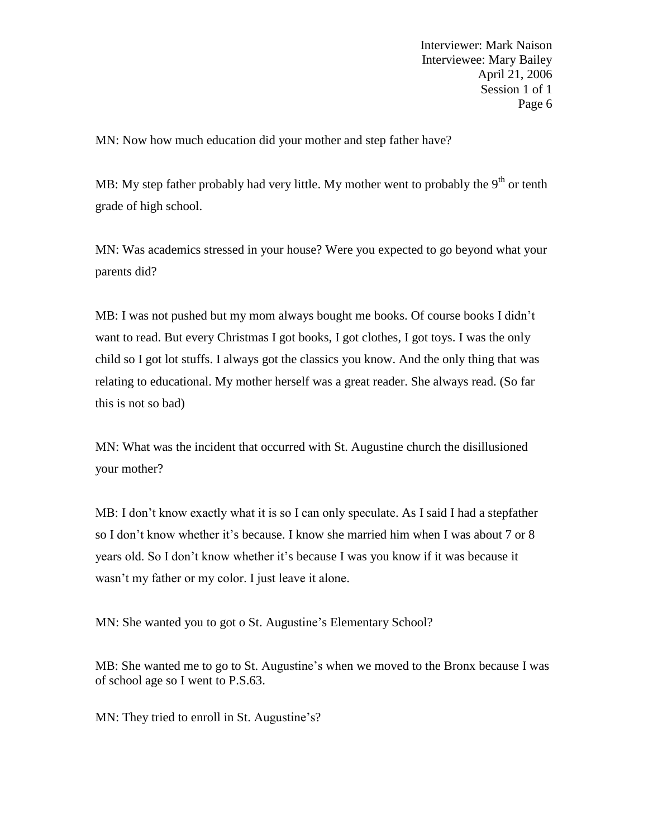MN: Now how much education did your mother and step father have?

MB: My step father probably had very little. My mother went to probably the  $9<sup>th</sup>$  or tenth grade of high school.

MN: Was academics stressed in your house? Were you expected to go beyond what your parents did?

MB: I was not pushed but my mom always bought me books. Of course books I didn't want to read. But every Christmas I got books, I got clothes, I got toys. I was the only child so I got lot stuffs. I always got the classics you know. And the only thing that was relating to educational. My mother herself was a great reader. She always read. (So far this is not so bad)

MN: What was the incident that occurred with St. Augustine church the disillusioned your mother?

MB: I don't know exactly what it is so I can only speculate. As I said I had a stepfather so I don't know whether it's because. I know she married him when I was about 7 or 8 years old. So I don't know whether it's because I was you know if it was because it wasn't my father or my color. I just leave it alone.

MN: She wanted you to got o St. Augustine's Elementary School?

MB: She wanted me to go to St. Augustine's when we moved to the Bronx because I was of school age so I went to P.S.63.

MN: They tried to enroll in St. Augustine's?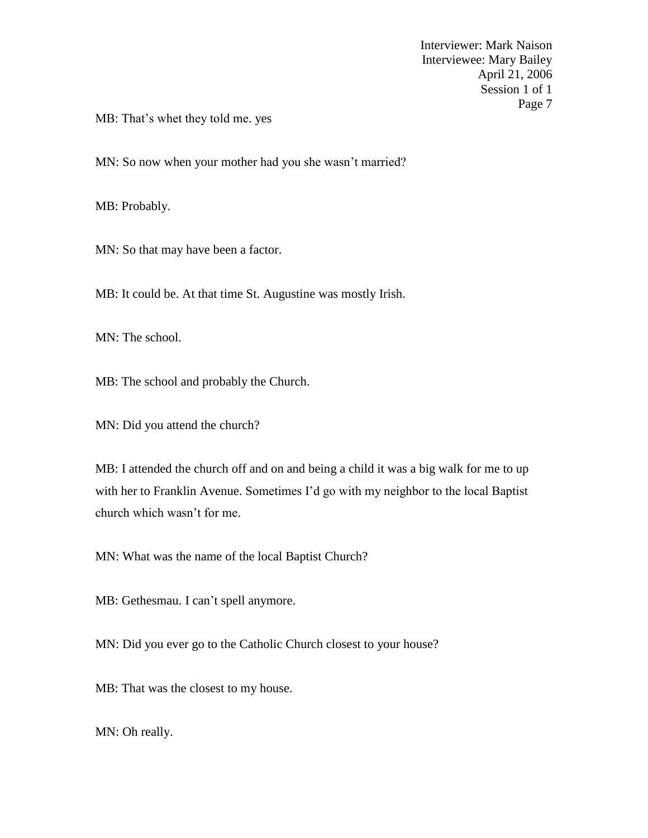MB: That's whet they told me. yes

MN: So now when your mother had you she wasn't married?

MB: Probably.

MN: So that may have been a factor.

MB: It could be. At that time St. Augustine was mostly Irish.

MN: The school.

MB: The school and probably the Church.

MN: Did you attend the church?

MB: I attended the church off and on and being a child it was a big walk for me to up with her to Franklin Avenue. Sometimes I'd go with my neighbor to the local Baptist church which wasn't for me.

MN: What was the name of the local Baptist Church?

MB: Gethesmau. I can't spell anymore.

MN: Did you ever go to the Catholic Church closest to your house?

MB: That was the closest to my house.

MN: Oh really.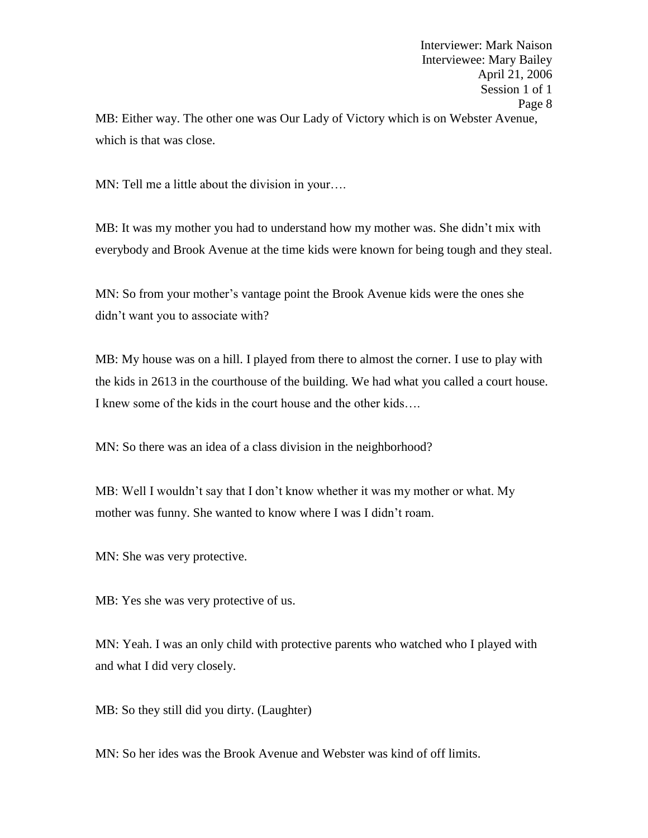Interviewer: Mark Naison Interviewee: Mary Bailey April 21, 2006 Session 1 of 1 Page 8 MB: Either way. The other one was Our Lady of Victory which is on Webster Avenue, which is that was close.

MN: Tell me a little about the division in your....

MB: It was my mother you had to understand how my mother was. She didn't mix with everybody and Brook Avenue at the time kids were known for being tough and they steal.

MN: So from your mother's vantage point the Brook Avenue kids were the ones she didn't want you to associate with?

MB: My house was on a hill. I played from there to almost the corner. I use to play with the kids in 2613 in the courthouse of the building. We had what you called a court house. I knew some of the kids in the court house and the other kids….

MN: So there was an idea of a class division in the neighborhood?

MB: Well I wouldn't say that I don't know whether it was my mother or what. My mother was funny. She wanted to know where I was I didn't roam.

MN: She was very protective.

MB: Yes she was very protective of us.

MN: Yeah. I was an only child with protective parents who watched who I played with and what I did very closely.

MB: So they still did you dirty. (Laughter)

MN: So her ides was the Brook Avenue and Webster was kind of off limits.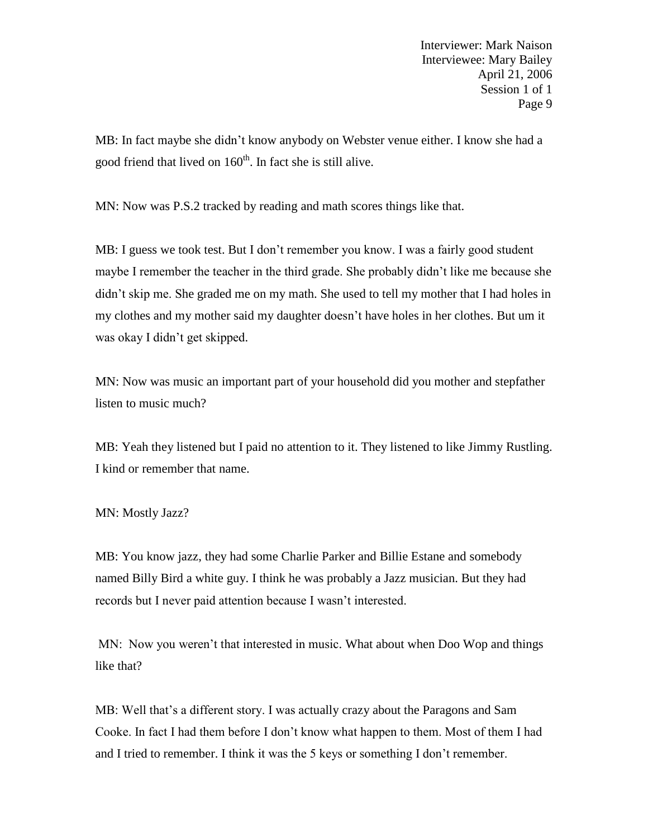MB: In fact maybe she didn't know anybody on Webster venue either. I know she had a good friend that lived on 160<sup>th</sup>. In fact she is still alive.

MN: Now was P.S.2 tracked by reading and math scores things like that.

MB: I guess we took test. But I don't remember you know. I was a fairly good student maybe I remember the teacher in the third grade. She probably didn't like me because she didn't skip me. She graded me on my math. She used to tell my mother that I had holes in my clothes and my mother said my daughter doesn't have holes in her clothes. But um it was okay I didn't get skipped.

MN: Now was music an important part of your household did you mother and stepfather listen to music much?

MB: Yeah they listened but I paid no attention to it. They listened to like Jimmy Rustling. I kind or remember that name.

MN: Mostly Jazz?

MB: You know jazz, they had some Charlie Parker and Billie Estane and somebody named Billy Bird a white guy. I think he was probably a Jazz musician. But they had records but I never paid attention because I wasn't interested.

MN: Now you weren't that interested in music. What about when Doo Wop and things like that?

MB: Well that's a different story. I was actually crazy about the Paragons and Sam Cooke. In fact I had them before I don't know what happen to them. Most of them I had and I tried to remember. I think it was the 5 keys or something I don't remember.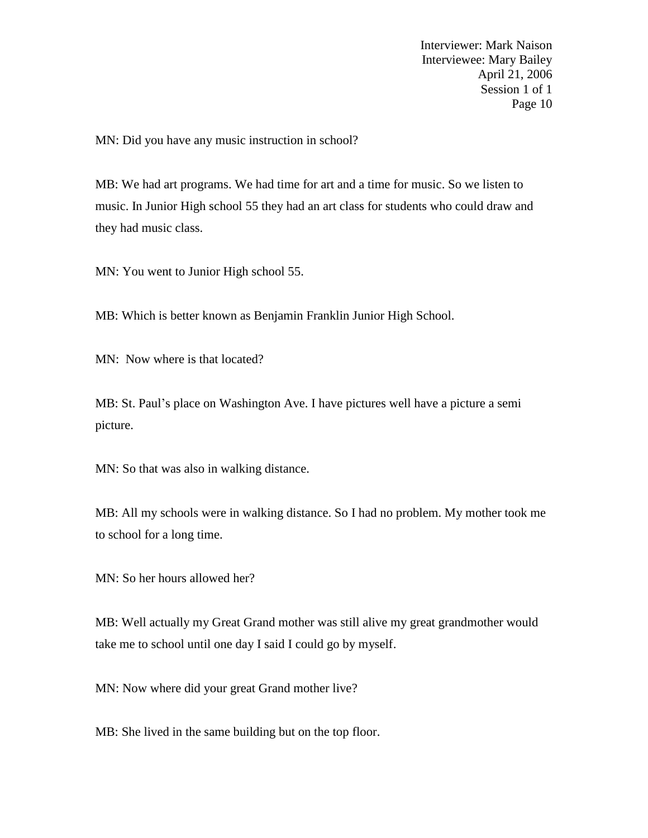MN: Did you have any music instruction in school?

MB: We had art programs. We had time for art and a time for music. So we listen to music. In Junior High school 55 they had an art class for students who could draw and they had music class.

MN: You went to Junior High school 55.

MB: Which is better known as Benjamin Franklin Junior High School.

MN: Now where is that located?

MB: St. Paul's place on Washington Ave. I have pictures well have a picture a semi picture.

MN: So that was also in walking distance.

MB: All my schools were in walking distance. So I had no problem. My mother took me to school for a long time.

MN: So her hours allowed her?

MB: Well actually my Great Grand mother was still alive my great grandmother would take me to school until one day I said I could go by myself.

MN: Now where did your great Grand mother live?

MB: She lived in the same building but on the top floor.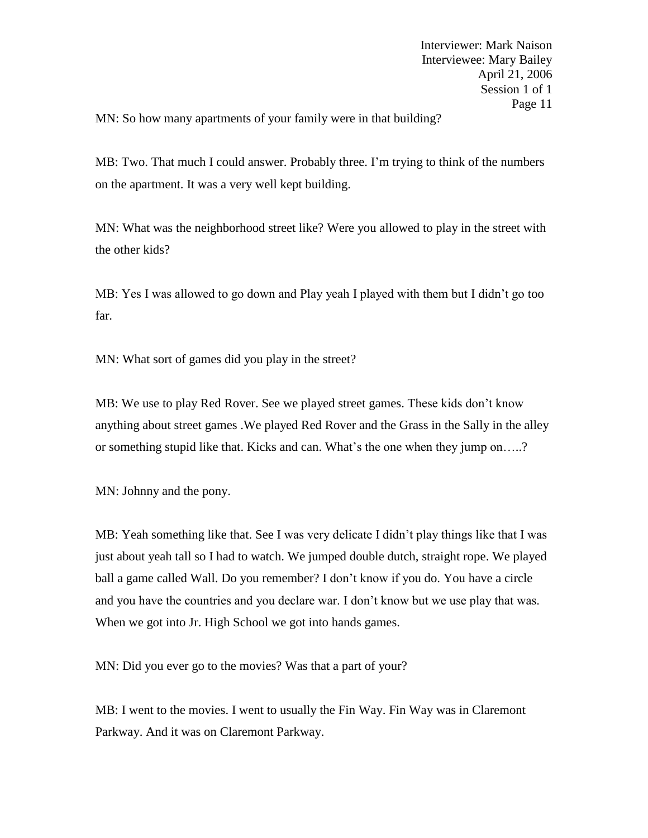MN: So how many apartments of your family were in that building?

MB: Two. That much I could answer. Probably three. I'm trying to think of the numbers on the apartment. It was a very well kept building.

MN: What was the neighborhood street like? Were you allowed to play in the street with the other kids?

MB: Yes I was allowed to go down and Play yeah I played with them but I didn't go too far.

MN: What sort of games did you play in the street?

MB: We use to play Red Rover. See we played street games. These kids don't know anything about street games .We played Red Rover and the Grass in the Sally in the alley or something stupid like that. Kicks and can. What's the one when they jump on…..?

MN: Johnny and the pony.

MB: Yeah something like that. See I was very delicate I didn't play things like that I was just about yeah tall so I had to watch. We jumped double dutch, straight rope. We played ball a game called Wall. Do you remember? I don't know if you do. You have a circle and you have the countries and you declare war. I don't know but we use play that was. When we got into Jr. High School we got into hands games.

MN: Did you ever go to the movies? Was that a part of your?

MB: I went to the movies. I went to usually the Fin Way. Fin Way was in Claremont Parkway. And it was on Claremont Parkway.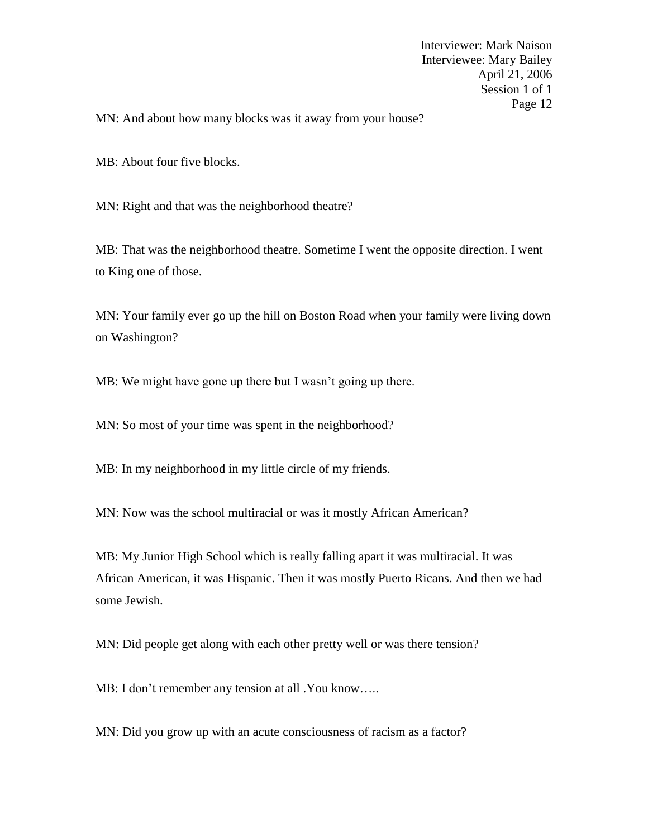MN: And about how many blocks was it away from your house?

MB: About four five blocks.

MN: Right and that was the neighborhood theatre?

MB: That was the neighborhood theatre. Sometime I went the opposite direction. I went to King one of those.

MN: Your family ever go up the hill on Boston Road when your family were living down on Washington?

MB: We might have gone up there but I wasn't going up there.

MN: So most of your time was spent in the neighborhood?

MB: In my neighborhood in my little circle of my friends.

MN: Now was the school multiracial or was it mostly African American?

MB: My Junior High School which is really falling apart it was multiracial. It was African American, it was Hispanic. Then it was mostly Puerto Ricans. And then we had some Jewish.

MN: Did people get along with each other pretty well or was there tension?

MB: I don't remember any tension at all .You know.....

MN: Did you grow up with an acute consciousness of racism as a factor?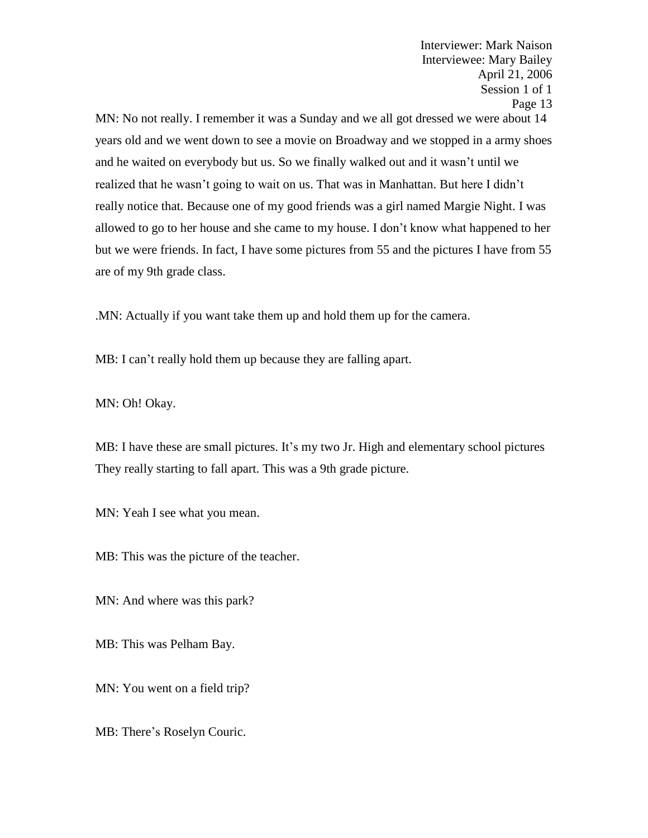MN: No not really. I remember it was a Sunday and we all got dressed we were about 14 years old and we went down to see a movie on Broadway and we stopped in a army shoes and he waited on everybody but us. So we finally walked out and it wasn't until we realized that he wasn't going to wait on us. That was in Manhattan. But here I didn't really notice that. Because one of my good friends was a girl named Margie Night. I was allowed to go to her house and she came to my house. I don't know what happened to her but we were friends. In fact, I have some pictures from 55 and the pictures I have from 55 are of my 9th grade class.

.MN: Actually if you want take them up and hold them up for the camera.

MB: I can't really hold them up because they are falling apart.

MN: Oh! Okay.

MB: I have these are small pictures. It's my two Jr. High and elementary school pictures They really starting to fall apart. This was a 9th grade picture.

MN: Yeah I see what you mean.

MB: This was the picture of the teacher.

MN: And where was this park?

MB: This was Pelham Bay.

MN: You went on a field trip?

MB: There's Roselyn Couric.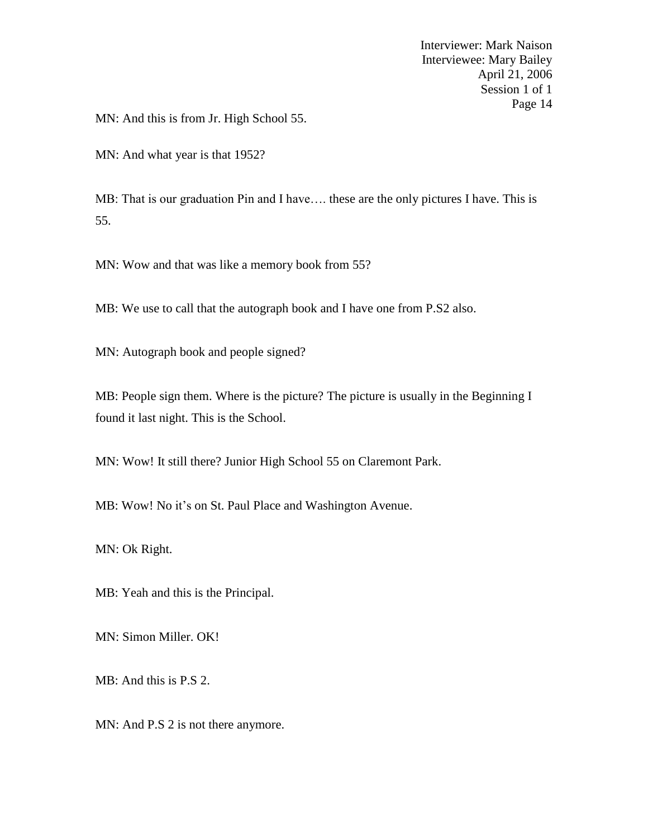MN: And this is from Jr. High School 55.

MN: And what year is that 1952?

MB: That is our graduation Pin and I have…. these are the only pictures I have. This is 55.

MN: Wow and that was like a memory book from 55?

MB: We use to call that the autograph book and I have one from P.S2 also.

MN: Autograph book and people signed?

MB: People sign them. Where is the picture? The picture is usually in the Beginning I found it last night. This is the School.

MN: Wow! It still there? Junior High School 55 on Claremont Park.

MB: Wow! No it's on St. Paul Place and Washington Avenue.

MN: Ok Right.

MB: Yeah and this is the Principal.

MN: Simon Miller. OK!

MB: And this is P.S 2.

MN: And P.S 2 is not there anymore.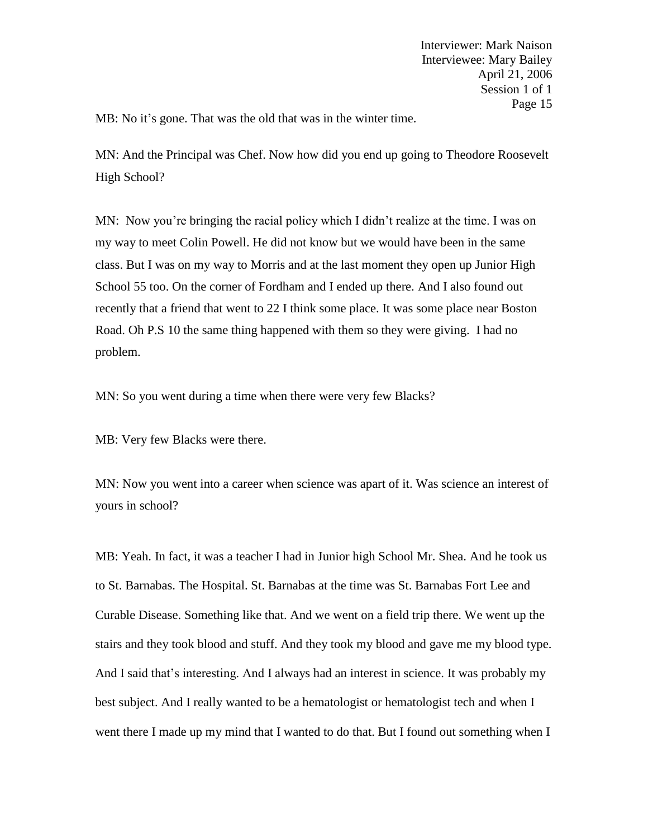MB: No it's gone. That was the old that was in the winter time.

MN: And the Principal was Chef. Now how did you end up going to Theodore Roosevelt High School?

MN: Now you're bringing the racial policy which I didn't realize at the time. I was on my way to meet Colin Powell. He did not know but we would have been in the same class. But I was on my way to Morris and at the last moment they open up Junior High School 55 too. On the corner of Fordham and I ended up there. And I also found out recently that a friend that went to 22 I think some place. It was some place near Boston Road. Oh P.S 10 the same thing happened with them so they were giving. I had no problem.

MN: So you went during a time when there were very few Blacks?

MB: Very few Blacks were there.

MN: Now you went into a career when science was apart of it. Was science an interest of yours in school?

MB: Yeah. In fact, it was a teacher I had in Junior high School Mr. Shea. And he took us to St. Barnabas. The Hospital. St. Barnabas at the time was St. Barnabas Fort Lee and Curable Disease. Something like that. And we went on a field trip there. We went up the stairs and they took blood and stuff. And they took my blood and gave me my blood type. And I said that's interesting. And I always had an interest in science. It was probably my best subject. And I really wanted to be a hematologist or hematologist tech and when I went there I made up my mind that I wanted to do that. But I found out something when I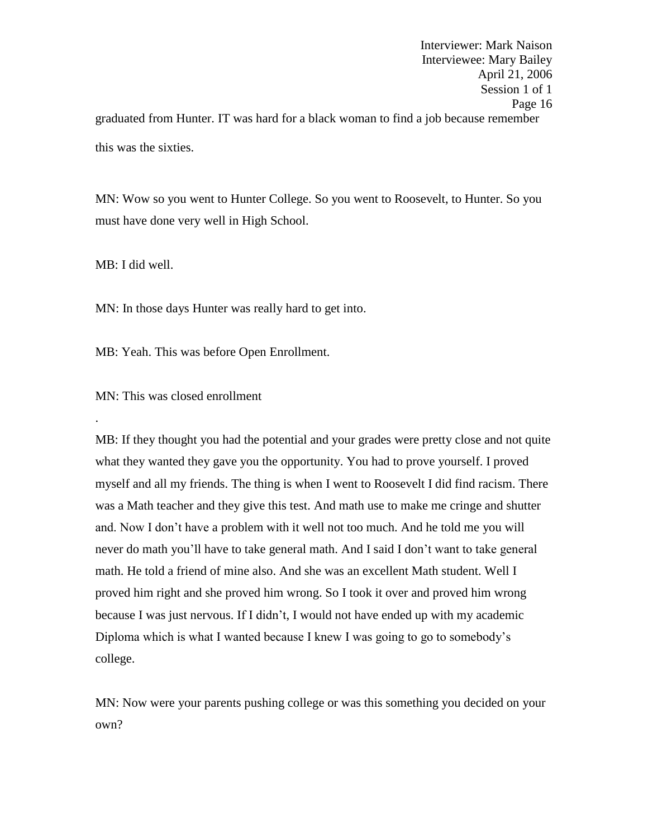Interviewer: Mark Naison Interviewee: Mary Bailey April 21, 2006 Session 1 of 1 Page 16 graduated from Hunter. IT was hard for a black woman to find a job because remember this was the sixties.

MN: Wow so you went to Hunter College. So you went to Roosevelt, to Hunter. So you must have done very well in High School.

MB: I did well.

.

MN: In those days Hunter was really hard to get into.

MB: Yeah. This was before Open Enrollment.

MN: This was closed enrollment

MB: If they thought you had the potential and your grades were pretty close and not quite what they wanted they gave you the opportunity. You had to prove yourself. I proved myself and all my friends. The thing is when I went to Roosevelt I did find racism. There was a Math teacher and they give this test. And math use to make me cringe and shutter and. Now I don't have a problem with it well not too much. And he told me you will never do math you'll have to take general math. And I said I don't want to take general math. He told a friend of mine also. And she was an excellent Math student. Well I proved him right and she proved him wrong. So I took it over and proved him wrong because I was just nervous. If I didn't, I would not have ended up with my academic Diploma which is what I wanted because I knew I was going to go to somebody's college.

MN: Now were your parents pushing college or was this something you decided on your own?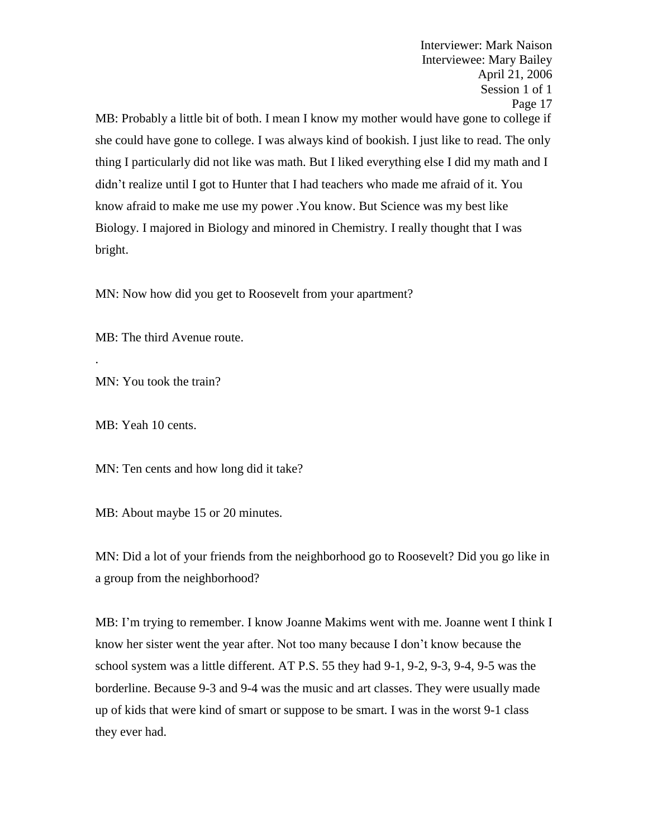Interviewee: Mary Bailey April 21, 2006 Session 1 of 1 Page 17 MB: Probably a little bit of both. I mean I know my mother would have gone to college if she could have gone to college. I was always kind of bookish. I just like to read. The only thing I particularly did not like was math. But I liked everything else I did my math and I didn't realize until I got to Hunter that I had teachers who made me afraid of it. You know afraid to make me use my power .You know. But Science was my best like Biology. I majored in Biology and minored in Chemistry. I really thought that I was bright.

Interviewer: Mark Naison

MN: Now how did you get to Roosevelt from your apartment?

MB: The third Avenue route.

MN: You took the train?

MB: Yeah 10 cents.

.

MN: Ten cents and how long did it take?

MB: About maybe 15 or 20 minutes.

MN: Did a lot of your friends from the neighborhood go to Roosevelt? Did you go like in a group from the neighborhood?

MB: I'm trying to remember. I know Joanne Makims went with me. Joanne went I think I know her sister went the year after. Not too many because I don't know because the school system was a little different. AT P.S. 55 they had 9-1, 9-2, 9-3, 9-4, 9-5 was the borderline. Because 9-3 and 9-4 was the music and art classes. They were usually made up of kids that were kind of smart or suppose to be smart. I was in the worst 9-1 class they ever had.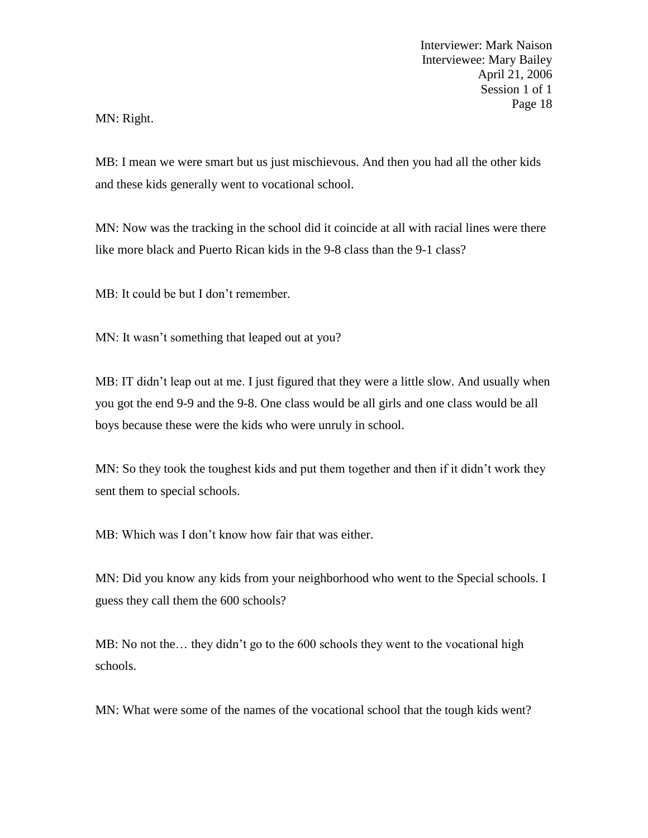MN: Right.

MB: I mean we were smart but us just mischievous. And then you had all the other kids and these kids generally went to vocational school.

MN: Now was the tracking in the school did it coincide at all with racial lines were there like more black and Puerto Rican kids in the 9-8 class than the 9-1 class?

MB: It could be but I don't remember.

MN: It wasn't something that leaped out at you?

MB: IT didn't leap out at me. I just figured that they were a little slow. And usually when you got the end 9-9 and the 9-8. One class would be all girls and one class would be all boys because these were the kids who were unruly in school.

MN: So they took the toughest kids and put them together and then if it didn't work they sent them to special schools.

MB: Which was I don't know how fair that was either.

MN: Did you know any kids from your neighborhood who went to the Special schools. I guess they call them the 600 schools?

MB: No not the… they didn't go to the 600 schools they went to the vocational high schools.

MN: What were some of the names of the vocational school that the tough kids went?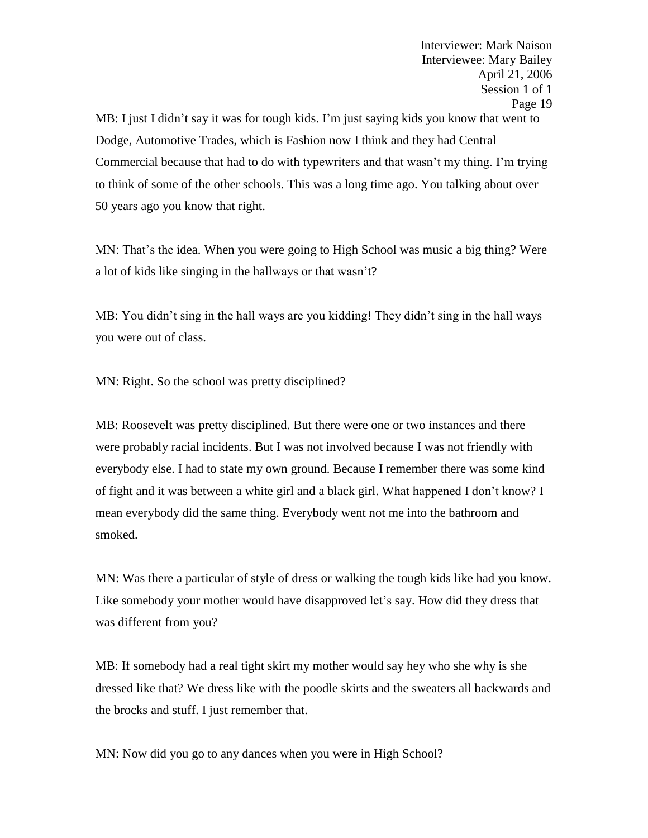MB: I just I didn't say it was for tough kids. I'm just saying kids you know that went to Dodge, Automotive Trades, which is Fashion now I think and they had Central Commercial because that had to do with typewriters and that wasn't my thing. I'm trying to think of some of the other schools. This was a long time ago. You talking about over 50 years ago you know that right.

MN: That's the idea. When you were going to High School was music a big thing? Were a lot of kids like singing in the hallways or that wasn't?

MB: You didn't sing in the hall ways are you kidding! They didn't sing in the hall ways you were out of class.

MN: Right. So the school was pretty disciplined?

MB: Roosevelt was pretty disciplined. But there were one or two instances and there were probably racial incidents. But I was not involved because I was not friendly with everybody else. I had to state my own ground. Because I remember there was some kind of fight and it was between a white girl and a black girl. What happened I don't know? I mean everybody did the same thing. Everybody went not me into the bathroom and smoked.

MN: Was there a particular of style of dress or walking the tough kids like had you know. Like somebody your mother would have disapproved let's say. How did they dress that was different from you?

MB: If somebody had a real tight skirt my mother would say hey who she why is she dressed like that? We dress like with the poodle skirts and the sweaters all backwards and the brocks and stuff. I just remember that.

MN: Now did you go to any dances when you were in High School?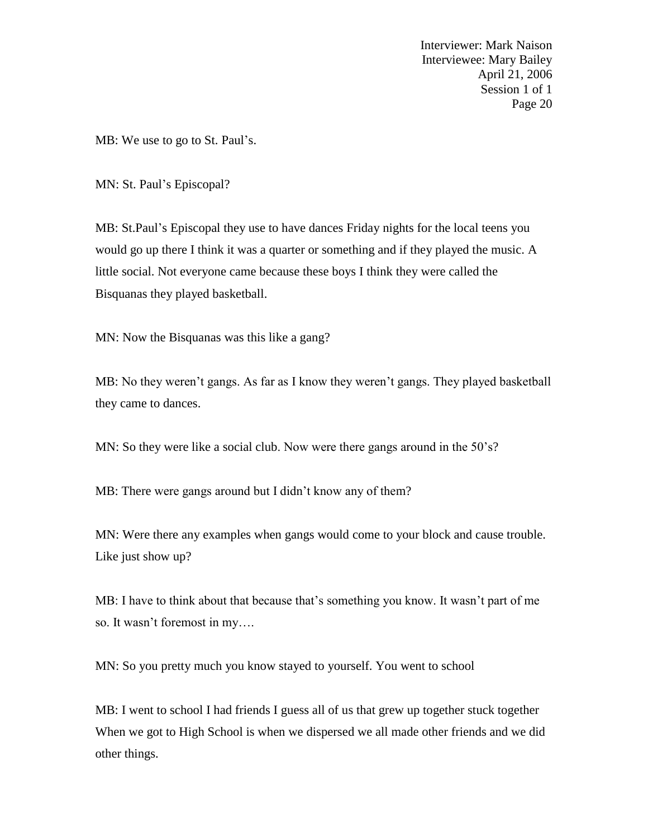MB: We use to go to St. Paul's.

MN: St. Paul's Episcopal?

MB: St.Paul's Episcopal they use to have dances Friday nights for the local teens you would go up there I think it was a quarter or something and if they played the music. A little social. Not everyone came because these boys I think they were called the Bisquanas they played basketball.

MN: Now the Bisquanas was this like a gang?

MB: No they weren't gangs. As far as I know they weren't gangs. They played basketball they came to dances.

MN: So they were like a social club. Now were there gangs around in the 50's?

MB: There were gangs around but I didn't know any of them?

MN: Were there any examples when gangs would come to your block and cause trouble. Like just show up?

MB: I have to think about that because that's something you know. It wasn't part of me so. It wasn't foremost in my….

MN: So you pretty much you know stayed to yourself. You went to school

MB: I went to school I had friends I guess all of us that grew up together stuck together When we got to High School is when we dispersed we all made other friends and we did other things.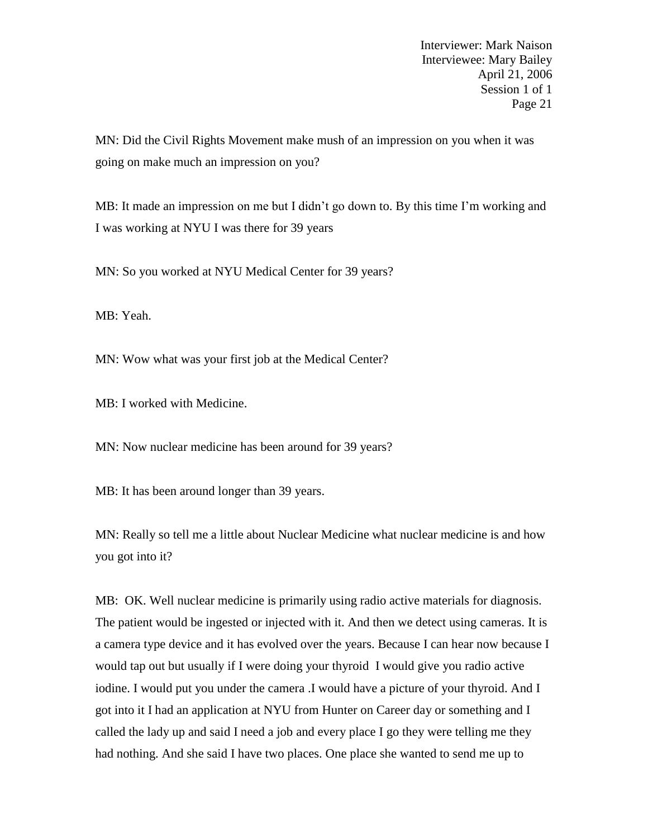MN: Did the Civil Rights Movement make mush of an impression on you when it was going on make much an impression on you?

MB: It made an impression on me but I didn't go down to. By this time I'm working and I was working at NYU I was there for 39 years

MN: So you worked at NYU Medical Center for 39 years?

MB: Yeah.

MN: Wow what was your first job at the Medical Center?

MB: I worked with Medicine.

MN: Now nuclear medicine has been around for 39 years?

MB: It has been around longer than 39 years.

MN: Really so tell me a little about Nuclear Medicine what nuclear medicine is and how you got into it?

MB: OK. Well nuclear medicine is primarily using radio active materials for diagnosis. The patient would be ingested or injected with it. And then we detect using cameras. It is a camera type device and it has evolved over the years. Because I can hear now because I would tap out but usually if I were doing your thyroid I would give you radio active iodine. I would put you under the camera .I would have a picture of your thyroid. And I got into it I had an application at NYU from Hunter on Career day or something and I called the lady up and said I need a job and every place I go they were telling me they had nothing. And she said I have two places. One place she wanted to send me up to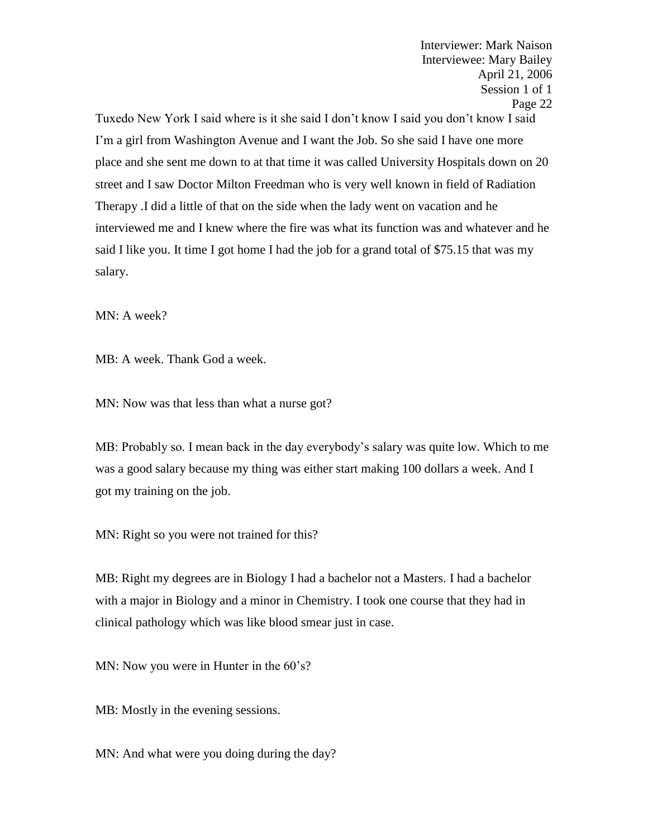Tuxedo New York I said where is it she said I don't know I said you don't know I said I'm a girl from Washington Avenue and I want the Job. So she said I have one more place and she sent me down to at that time it was called University Hospitals down on 20 street and I saw Doctor Milton Freedman who is very well known in field of Radiation Therapy .I did a little of that on the side when the lady went on vacation and he interviewed me and I knew where the fire was what its function was and whatever and he said I like you. It time I got home I had the job for a grand total of \$75.15 that was my salary.

MN: A week?

MB: A week. Thank God a week.

MN: Now was that less than what a nurse got?

MB: Probably so. I mean back in the day everybody's salary was quite low. Which to me was a good salary because my thing was either start making 100 dollars a week. And I got my training on the job.

MN: Right so you were not trained for this?

MB: Right my degrees are in Biology I had a bachelor not a Masters. I had a bachelor with a major in Biology and a minor in Chemistry. I took one course that they had in clinical pathology which was like blood smear just in case.

MN: Now you were in Hunter in the 60's?

MB: Mostly in the evening sessions.

MN: And what were you doing during the day?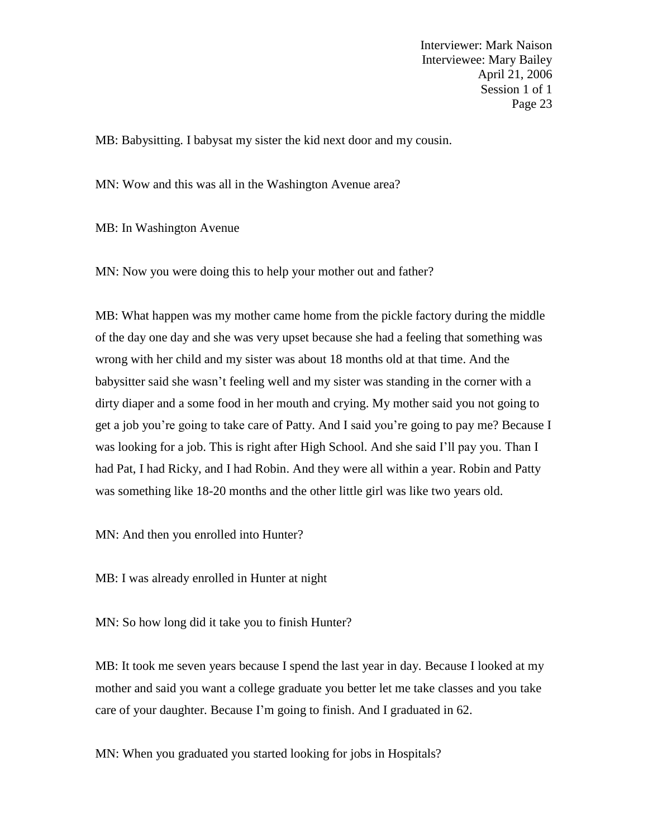MB: Babysitting. I babysat my sister the kid next door and my cousin.

MN: Wow and this was all in the Washington Avenue area?

MB: In Washington Avenue

MN: Now you were doing this to help your mother out and father?

MB: What happen was my mother came home from the pickle factory during the middle of the day one day and she was very upset because she had a feeling that something was wrong with her child and my sister was about 18 months old at that time. And the babysitter said she wasn't feeling well and my sister was standing in the corner with a dirty diaper and a some food in her mouth and crying. My mother said you not going to get a job you're going to take care of Patty. And I said you're going to pay me? Because I was looking for a job. This is right after High School. And she said I'll pay you. Than I had Pat, I had Ricky, and I had Robin. And they were all within a year. Robin and Patty was something like 18-20 months and the other little girl was like two years old.

MN: And then you enrolled into Hunter?

MB: I was already enrolled in Hunter at night

MN: So how long did it take you to finish Hunter?

MB: It took me seven years because I spend the last year in day. Because I looked at my mother and said you want a college graduate you better let me take classes and you take care of your daughter. Because I'm going to finish. And I graduated in 62.

MN: When you graduated you started looking for jobs in Hospitals?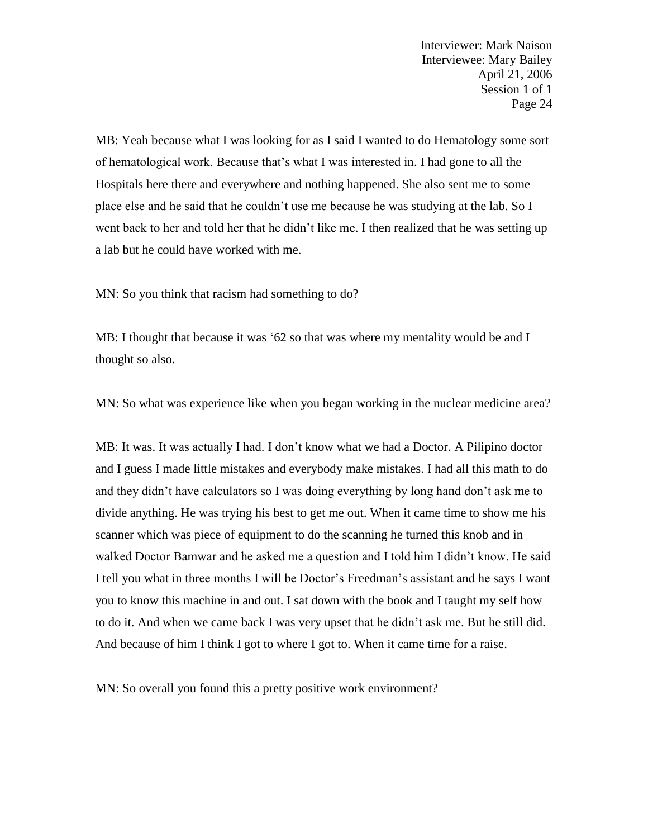MB: Yeah because what I was looking for as I said I wanted to do Hematology some sort of hematological work. Because that's what I was interested in. I had gone to all the Hospitals here there and everywhere and nothing happened. She also sent me to some place else and he said that he couldn't use me because he was studying at the lab. So I went back to her and told her that he didn't like me. I then realized that he was setting up a lab but he could have worked with me.

MN: So you think that racism had something to do?

MB: I thought that because it was '62 so that was where my mentality would be and I thought so also.

MN: So what was experience like when you began working in the nuclear medicine area?

MB: It was. It was actually I had. I don't know what we had a Doctor. A Pilipino doctor and I guess I made little mistakes and everybody make mistakes. I had all this math to do and they didn't have calculators so I was doing everything by long hand don't ask me to divide anything. He was trying his best to get me out. When it came time to show me his scanner which was piece of equipment to do the scanning he turned this knob and in walked Doctor Bamwar and he asked me a question and I told him I didn't know. He said I tell you what in three months I will be Doctor's Freedman's assistant and he says I want you to know this machine in and out. I sat down with the book and I taught my self how to do it. And when we came back I was very upset that he didn't ask me. But he still did. And because of him I think I got to where I got to. When it came time for a raise.

MN: So overall you found this a pretty positive work environment?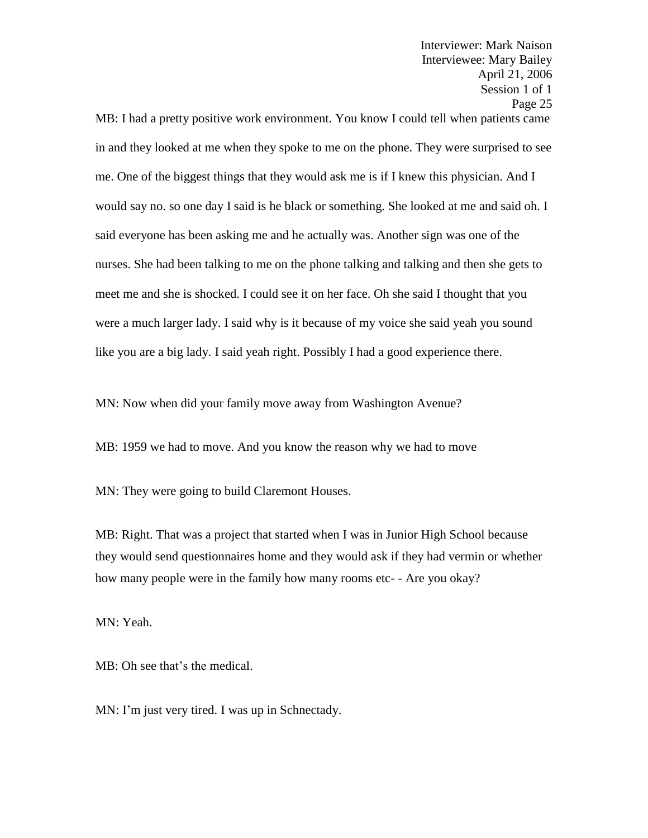April 21, 2006 Session 1 of 1 Page 25 MB: I had a pretty positive work environment. You know I could tell when patients came in and they looked at me when they spoke to me on the phone. They were surprised to see me. One of the biggest things that they would ask me is if I knew this physician. And I would say no. so one day I said is he black or something. She looked at me and said oh. I said everyone has been asking me and he actually was. Another sign was one of the nurses. She had been talking to me on the phone talking and talking and then she gets to meet me and she is shocked. I could see it on her face. Oh she said I thought that you were a much larger lady. I said why is it because of my voice she said yeah you sound like you are a big lady. I said yeah right. Possibly I had a good experience there.

Interviewer: Mark Naison Interviewee: Mary Bailey

MN: Now when did your family move away from Washington Avenue?

MB: 1959 we had to move. And you know the reason why we had to move

MN: They were going to build Claremont Houses.

MB: Right. That was a project that started when I was in Junior High School because they would send questionnaires home and they would ask if they had vermin or whether how many people were in the family how many rooms etc- - Are you okay?

MN: Yeah.

MB: Oh see that's the medical.

MN: I'm just very tired. I was up in Schnectady.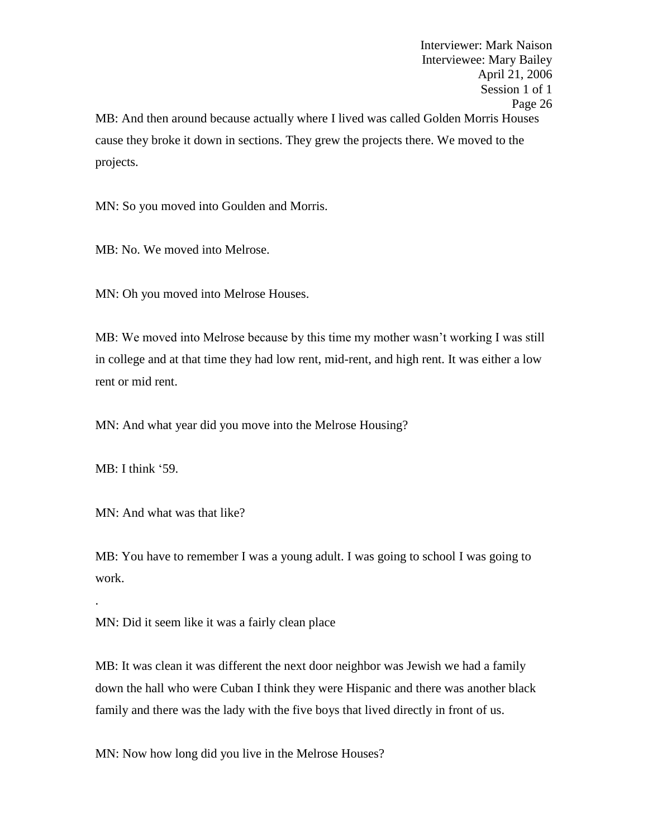Interviewer: Mark Naison Interviewee: Mary Bailey April 21, 2006 Session 1 of 1 Page 26 MB: And then around because actually where I lived was called Golden Morris Houses cause they broke it down in sections. They grew the projects there. We moved to the projects.

MN: So you moved into Goulden and Morris.

MB: No. We moved into Melrose.

MN: Oh you moved into Melrose Houses.

MB: We moved into Melrose because by this time my mother wasn't working I was still in college and at that time they had low rent, mid-rent, and high rent. It was either a low rent or mid rent.

MN: And what year did you move into the Melrose Housing?

MB: I think '59.

.

MN: And what was that like?

MB: You have to remember I was a young adult. I was going to school I was going to work.

MN: Did it seem like it was a fairly clean place

MB: It was clean it was different the next door neighbor was Jewish we had a family down the hall who were Cuban I think they were Hispanic and there was another black family and there was the lady with the five boys that lived directly in front of us.

MN: Now how long did you live in the Melrose Houses?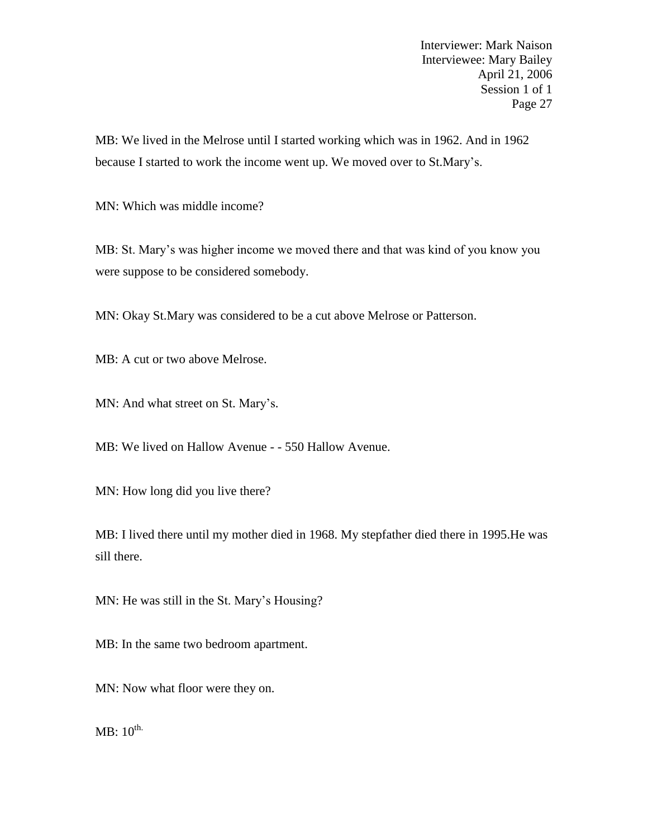MB: We lived in the Melrose until I started working which was in 1962. And in 1962 because I started to work the income went up. We moved over to St.Mary's.

MN: Which was middle income?

MB: St. Mary's was higher income we moved there and that was kind of you know you were suppose to be considered somebody.

MN: Okay St.Mary was considered to be a cut above Melrose or Patterson.

MB: A cut or two above Melrose.

MN: And what street on St. Mary's.

MB: We lived on Hallow Avenue - - 550 Hallow Avenue.

MN: How long did you live there?

MB: I lived there until my mother died in 1968. My stepfather died there in 1995.He was sill there.

MN: He was still in the St. Mary's Housing?

MB: In the same two bedroom apartment.

MN: Now what floor were they on.

 $MB: 10^{th.}$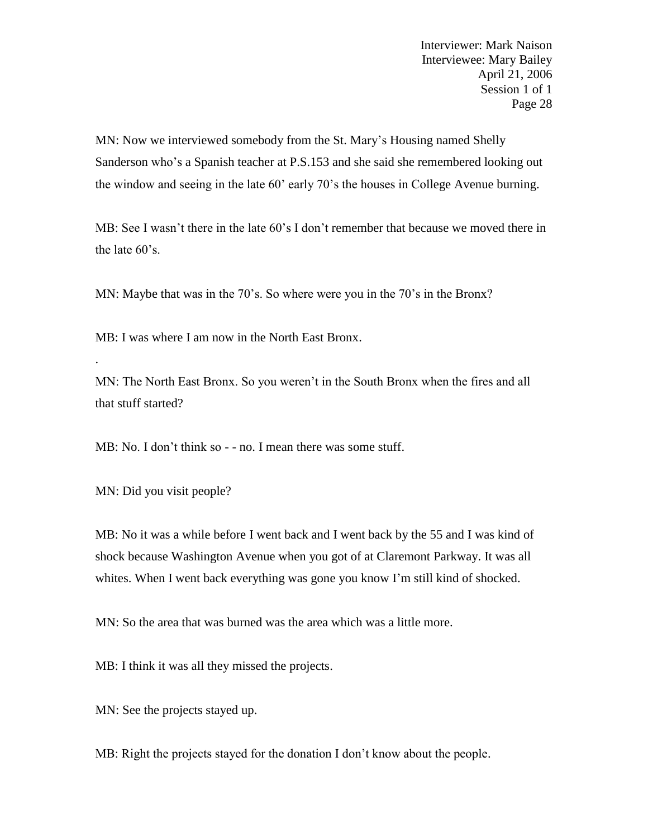MN: Now we interviewed somebody from the St. Mary's Housing named Shelly Sanderson who's a Spanish teacher at P.S.153 and she said she remembered looking out the window and seeing in the late 60' early 70's the houses in College Avenue burning.

MB: See I wasn't there in the late 60's I don't remember that because we moved there in the late 60's.

MN: Maybe that was in the 70's. So where were you in the 70's in the Bronx?

MB: I was where I am now in the North East Bronx.

MN: The North East Bronx. So you weren't in the South Bronx when the fires and all that stuff started?

MB: No. I don't think so - - no. I mean there was some stuff.

MN: Did you visit people?

.

MB: No it was a while before I went back and I went back by the 55 and I was kind of shock because Washington Avenue when you got of at Claremont Parkway. It was all whites. When I went back everything was gone you know I'm still kind of shocked.

MN: So the area that was burned was the area which was a little more.

MB: I think it was all they missed the projects.

MN: See the projects stayed up.

MB: Right the projects stayed for the donation I don't know about the people.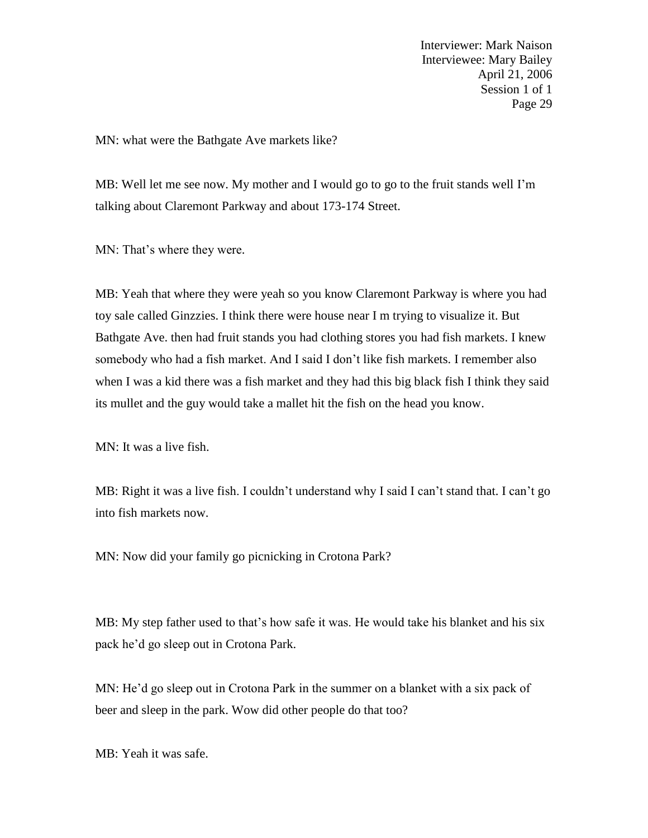MN: what were the Bathgate Ave markets like?

MB: Well let me see now. My mother and I would go to go to the fruit stands well I'm talking about Claremont Parkway and about 173-174 Street.

MN: That's where they were.

MB: Yeah that where they were yeah so you know Claremont Parkway is where you had toy sale called Ginzzies. I think there were house near I m trying to visualize it. But Bathgate Ave. then had fruit stands you had clothing stores you had fish markets. I knew somebody who had a fish market. And I said I don't like fish markets. I remember also when I was a kid there was a fish market and they had this big black fish I think they said its mullet and the guy would take a mallet hit the fish on the head you know.

MN: It was a live fish.

MB: Right it was a live fish. I couldn't understand why I said I can't stand that. I can't go into fish markets now.

MN: Now did your family go picnicking in Crotona Park?

MB: My step father used to that's how safe it was. He would take his blanket and his six pack he'd go sleep out in Crotona Park.

MN: He'd go sleep out in Crotona Park in the summer on a blanket with a six pack of beer and sleep in the park. Wow did other people do that too?

MB: Yeah it was safe.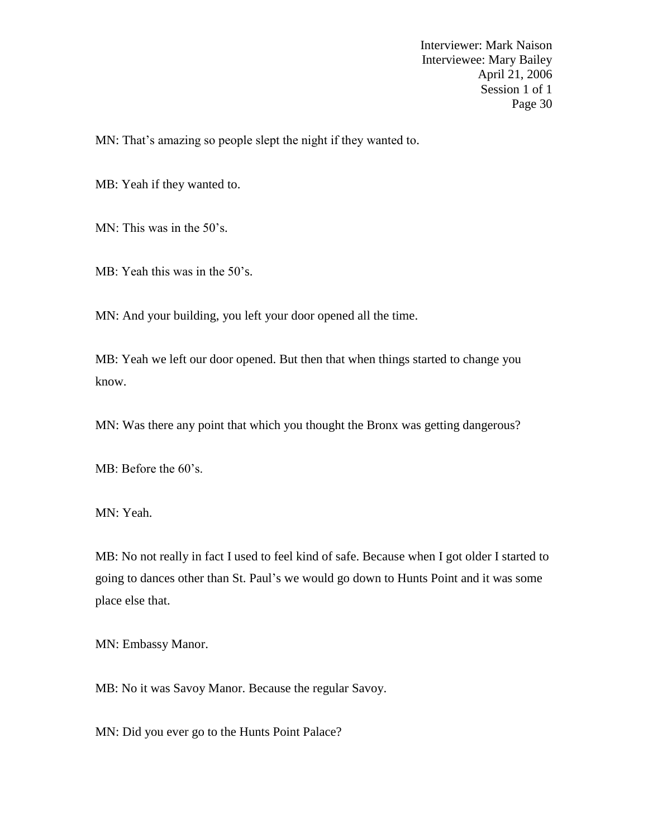MN: That's amazing so people slept the night if they wanted to.

MB: Yeah if they wanted to.

MN: This was in the 50's.

MB: Yeah this was in the 50's.

MN: And your building, you left your door opened all the time.

MB: Yeah we left our door opened. But then that when things started to change you know.

MN: Was there any point that which you thought the Bronx was getting dangerous?

MB: Before the 60's.

MN: Yeah.

MB: No not really in fact I used to feel kind of safe. Because when I got older I started to going to dances other than St. Paul's we would go down to Hunts Point and it was some place else that.

MN: Embassy Manor.

MB: No it was Savoy Manor. Because the regular Savoy.

MN: Did you ever go to the Hunts Point Palace?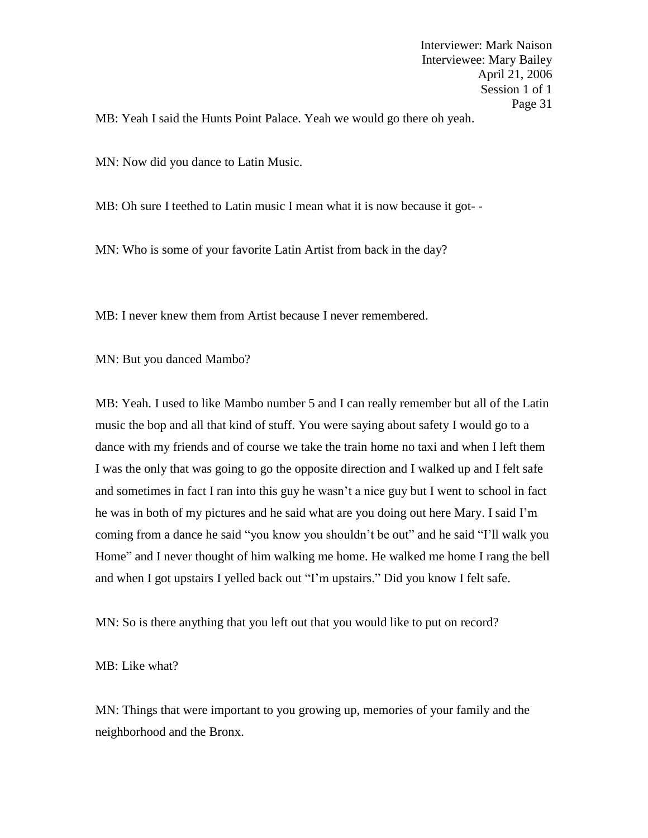MB: Yeah I said the Hunts Point Palace. Yeah we would go there oh yeah.

MN: Now did you dance to Latin Music.

MB: Oh sure I teethed to Latin music I mean what it is now because it got-

MN: Who is some of your favorite Latin Artist from back in the day?

MB: I never knew them from Artist because I never remembered.

MN: But you danced Mambo?

MB: Yeah. I used to like Mambo number 5 and I can really remember but all of the Latin music the bop and all that kind of stuff. You were saying about safety I would go to a dance with my friends and of course we take the train home no taxi and when I left them I was the only that was going to go the opposite direction and I walked up and I felt safe and sometimes in fact I ran into this guy he wasn't a nice guy but I went to school in fact he was in both of my pictures and he said what are you doing out here Mary. I said I'm coming from a dance he said "you know you shouldn't be out" and he said "I'll walk you Home" and I never thought of him walking me home. He walked me home I rang the bell and when I got upstairs I yelled back out "I'm upstairs." Did you know I felt safe.

MN: So is there anything that you left out that you would like to put on record?

MB: Like what?

MN: Things that were important to you growing up, memories of your family and the neighborhood and the Bronx.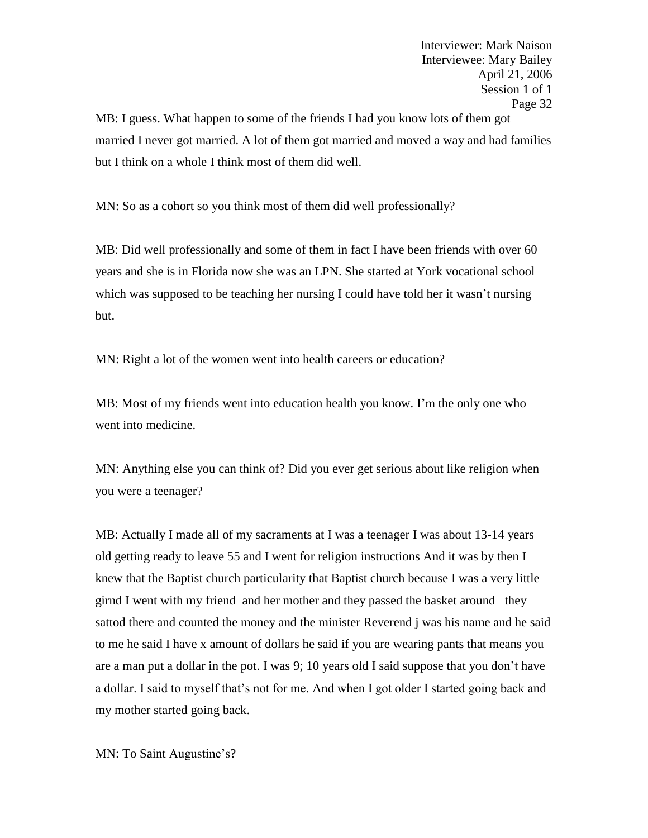MB: I guess. What happen to some of the friends I had you know lots of them got married I never got married. A lot of them got married and moved a way and had families but I think on a whole I think most of them did well.

MN: So as a cohort so you think most of them did well professionally?

MB: Did well professionally and some of them in fact I have been friends with over 60 years and she is in Florida now she was an LPN. She started at York vocational school which was supposed to be teaching her nursing I could have told her it wasn't nursing but.

MN: Right a lot of the women went into health careers or education?

MB: Most of my friends went into education health you know. I'm the only one who went into medicine.

MN: Anything else you can think of? Did you ever get serious about like religion when you were a teenager?

MB: Actually I made all of my sacraments at I was a teenager I was about 13-14 years old getting ready to leave 55 and I went for religion instructions And it was by then I knew that the Baptist church particularity that Baptist church because I was a very little girnd I went with my friend and her mother and they passed the basket around they sattod there and counted the money and the minister Reverend j was his name and he said to me he said I have x amount of dollars he said if you are wearing pants that means you are a man put a dollar in the pot. I was 9; 10 years old I said suppose that you don't have a dollar. I said to myself that's not for me. And when I got older I started going back and my mother started going back.

MN: To Saint Augustine's?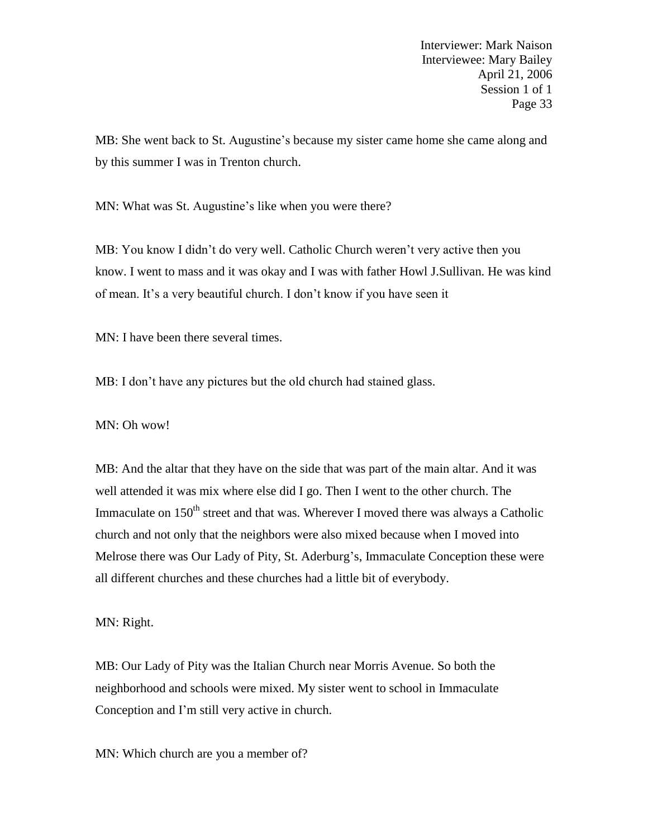MB: She went back to St. Augustine's because my sister came home she came along and by this summer I was in Trenton church.

MN: What was St. Augustine's like when you were there?

MB: You know I didn't do very well. Catholic Church weren't very active then you know. I went to mass and it was okay and I was with father Howl J.Sullivan. He was kind of mean. It's a very beautiful church. I don't know if you have seen it

MN: I have been there several times.

MB: I don't have any pictures but the old church had stained glass.

MN: Oh wow!

MB: And the altar that they have on the side that was part of the main altar. And it was well attended it was mix where else did I go. Then I went to the other church. The Immaculate on 150<sup>th</sup> street and that was. Wherever I moved there was always a Catholic church and not only that the neighbors were also mixed because when I moved into Melrose there was Our Lady of Pity, St. Aderburg's, Immaculate Conception these were all different churches and these churches had a little bit of everybody.

MN: Right.

MB: Our Lady of Pity was the Italian Church near Morris Avenue. So both the neighborhood and schools were mixed. My sister went to school in Immaculate Conception and I'm still very active in church.

MN: Which church are you a member of?